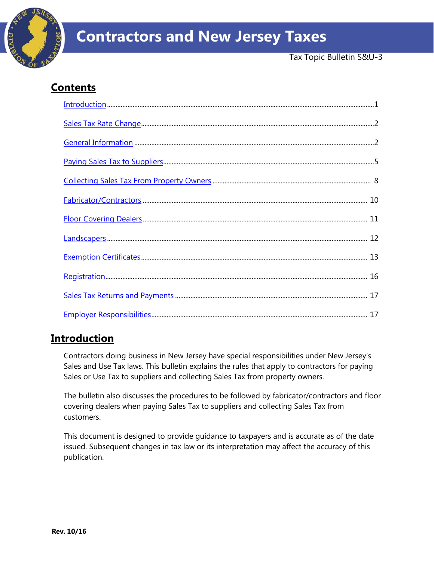

# **Contents**

# <span id="page-0-0"></span>**Introduction**

Contractors doing business in New Jersey have special responsibilities under New Jersey's Sales and Use Tax laws. This bulletin explains the rules that apply to contractors for paying Sales or Use Tax to suppliers and collecting Sales Tax from property owners.

The bulletin also discusses the procedures to be followed by fabricator/contractors and floor covering dealers when paying Sales Tax to suppliers and collecting Sales Tax from customers.

This document is designed to provide guidance to taxpayers and is accurate as of the date issued. Subsequent changes in tax law or its interpretation may affect the accuracy of this publication.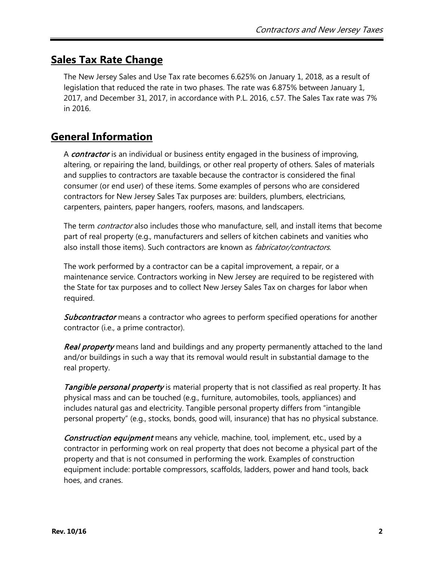# <span id="page-1-0"></span>**Sales Tax Rate Change**

The New Jersey Sales and Use Tax rate becomes 6.625% on January 1, 2018, as a result of legislation that reduced the rate in two phases. The rate was 6.875% between January 1, 2017, and December 31, 2017, in accordance with P.L. 2016, c.57. The Sales Tax rate was 7% in 2016.

# <span id="page-1-1"></span>**General Information**

A *contractor* is an individual or business entity engaged in the business of improving, altering, or repairing the land, buildings, or other real property of others. Sales of materials and supplies to contractors are taxable because the contractor is considered the final consumer (or end user) of these items. Some examples of persons who are considered contractors for New Jersey Sales Tax purposes are: builders, plumbers, electricians, carpenters, painters, paper hangers, roofers, masons, and landscapers.

The term *contractor* also includes those who manufacture, sell, and install items that become part of real property (e.g., manufacturers and sellers of kitchen cabinets and vanities who also install those items). Such contractors are known as *fabricator/contractors.* 

The work performed by a contractor can be a capital improvement, a repair, or a maintenance service. Contractors working in New Jersey are required to be registered with the State for tax purposes and to collect New Jersey Sales Tax on charges for labor when required.

Subcontractor means a contractor who agrees to perform specified operations for another contractor (i.e., a prime contractor).

Real property means land and buildings and any property permanently attached to the land and/or buildings in such a way that its removal would result in substantial damage to the real property.

**Tangible personal property** is material property that is not classified as real property. It has physical mass and can be touched (e.g., furniture, automobiles, tools, appliances) and includes natural gas and electricity. Tangible personal property differs from "intangible personal property" (e.g., stocks, bonds, good will, insurance) that has no physical substance.

Construction equipment means any vehicle, machine, tool, implement, etc., used by a contractor in performing work on real property that does not become a physical part of the property and that is not consumed in performing the work. Examples of construction equipment include: portable compressors, scaffolds, ladders, power and hand tools, back hoes, and cranes.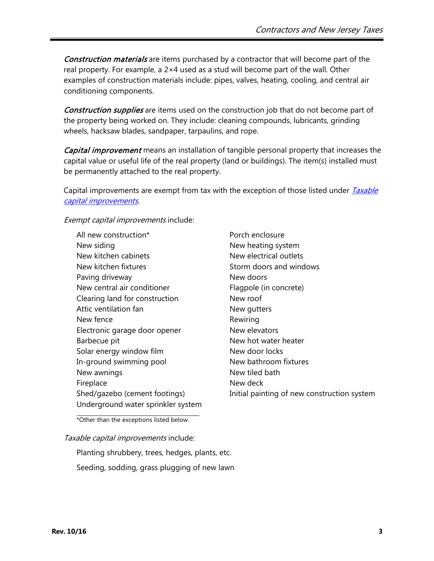Construction materials are items purchased by a contractor that will become part of the real property. For example, a 2×4 used as a stud will become part of the wall. Other examples of construction materials include: pipes, valves, heating, cooling, and central air conditioning components.

Construction supplies are items used on the construction job that do not become part of the property being worked on. They include: cleaning compounds, lubricants, grinding wheels, hacksaw blades, sandpaper, tarpaulins, and rope.

Capital improvement means an installation of tangible personal property that increases the capital value or useful life of the real property (land or buildings). The item(s) installed must be permanently attached to the real property.

Capital improvements are exempt from tax with the exception of those listed under *Taxable* [capital improvements](#page-2-0).

#### Exempt capital improvements include:

All new construction\* New siding New kitchen cabinets New kitchen fixtures Paving driveway New central air conditioner Clearing land for construction Attic ventilation fan New fence Electronic garage door opener Barbecue pit Solar energy window film In-ground swimming pool New awnings Fireplace Shed/gazebo (cement footings) Underground water sprinkler system

Porch enclosure New heating system New electrical outlets Storm doors and windows New doors Flagpole (in concrete) New roof New gutters Rewiring New elevators New hot water heater New door locks New bathroom fixtures New tiled bath New deck Initial painting of new construction system

\*Other than the exceptions listed below.

#### <span id="page-2-0"></span>Taxable capital improvements include:

Planting shrubbery, trees, hedges, plants, etc. Seeding, sodding, grass plugging of new lawn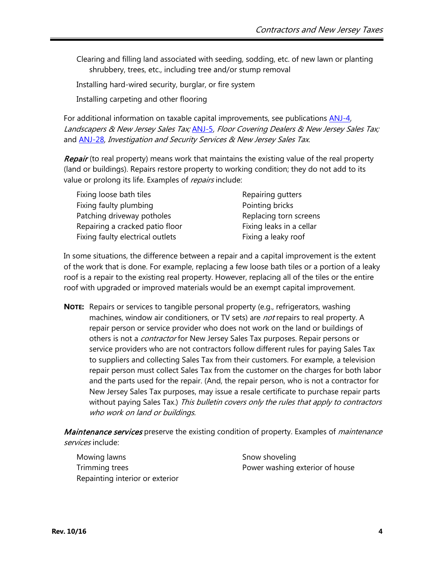Clearing and filling land associated with seeding, sodding, etc. of new lawn or planting shrubbery, trees, etc., including tree and/or stump removal

Installing hard-wired security, burglar, or fire system

Installing carpeting and other flooring

For additional information on taxable capital improvements, see publications [ANJ-4,](http://www.state.nj.us/treasury/taxation/pdf/pubs/sales/anj4.pdf) Landscapers & New Jersey Sales Tax; [ANJ-5,](http://www.state.nj.us/treasury/taxation/pdf/pubs/sales/anj5.pdf) Floor Covering Dealers & New Jersey Sales Tax; and **ANJ-28**, Investigation and Security Services & New Jersey Sales Tax.

Repair (to real property) means work that maintains the existing value of the real property (land or buildings). Repairs restore property to working condition; they do not add to its value or prolong its life. Examples of repairs include:

| Fixing loose bath tiles          | Repairing gutters        |
|----------------------------------|--------------------------|
| Fixing faulty plumbing           | Pointing bricks          |
| Patching driveway potholes       | Replacing torn screens   |
| Repairing a cracked patio floor  | Fixing leaks in a cellar |
| Fixing faulty electrical outlets | Fixing a leaky roof      |

In some situations, the difference between a repair and a capital improvement is the extent of the work that is done. For example, replacing a few loose bath tiles or a portion of a leaky roof is a repair to the existing real property. However, replacing all of the tiles or the entire roof with upgraded or improved materials would be an exempt capital improvement.

**NOTE:** Repairs or services to tangible personal property (e.g., refrigerators, washing machines, window air conditioners, or TV sets) are *not* repairs to real property. A repair person or service provider who does not work on the land or buildings of others is not a *contractor* for New Jersey Sales Tax purposes. Repair persons or service providers who are not contractors follow different rules for paying Sales Tax to suppliers and collecting Sales Tax from their customers. For example, a television repair person must collect Sales Tax from the customer on the charges for both labor and the parts used for the repair. (And, the repair person, who is not a contractor for New Jersey Sales Tax purposes, may issue a resale certificate to purchase repair parts without paying Sales Tax.) This bulletin covers only the rules that apply to contractors who work on land or buildings.

Maintenance services preserve the existing condition of property. Examples of *maintenance* services include:

Mowing lawns Trimming trees Repainting interior or exterior Snow shoveling Power washing exterior of house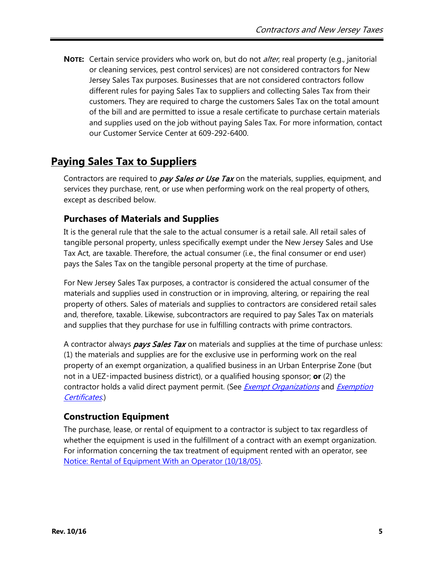**NOTE:** Certain service providers who work on, but do not alter, real property (e.g., janitorial or cleaning services, pest control services) are not considered contractors for New Jersey Sales Tax purposes. Businesses that are not considered contractors follow different rules for paying Sales Tax to suppliers and collecting Sales Tax from their customers. They are required to charge the customers Sales Tax on the total amount of the bill and are permitted to issue a resale certificate to purchase certain materials and supplies used on the job without paying Sales Tax. For more information, contact our Customer Service Center at 609-292-6400.

# <span id="page-4-0"></span>**Paying Sales Tax to Suppliers**

Contractors are required to *pay Sales or Use Tax* on the materials, supplies, equipment, and services they purchase, rent, or use when performing work on the real property of others, except as described below.

### **Purchases of Materials and Supplies**

It is the general rule that the sale to the actual consumer is a retail sale. All retail sales of tangible personal property, unless specifically exempt under the New Jersey Sales and Use Tax Act, are taxable. Therefore, the actual consumer (i.e., the final consumer or end user) pays the Sales Tax on the tangible personal property at the time of purchase.

For New Jersey Sales Tax purposes, a contractor is considered the actual consumer of the materials and supplies used in construction or in improving, altering, or repairing the real property of others. Sales of materials and supplies to contractors are considered retail sales and, therefore, taxable. Likewise, subcontractors are required to pay Sales Tax on materials and supplies that they purchase for use in fulfilling contracts with prime contractors.

A contractor always *pays Sales Tax* on materials and supplies at the time of purchase unless: (1) the materials and supplies are for the exclusive use in performing work on the real property of an exempt organization, a qualified business in an Urban Enterprise Zone (but not in a UEZ‑impacted business district), or a qualified housing sponsor; **or** (2) the contractor holds a valid direct payment permit. (See *[Exempt Organizations](#page-6-0)* and *[Exemption](#page-12-0)* [Certificates](#page-12-0).)

# **Construction Equipment**

The purchase, lease, or rental of equipment to a contractor is subject to tax regardless of whether the equipment is used in the fulfillment of a contract with an exempt organization. For information concerning the tax treatment of equipment rented with an operator, see Notice: [Rental of Equipment With an Operator \(10/18/05\).](http://www.state.nj.us/treasury/taxation/pdf/ssutequip.pdf)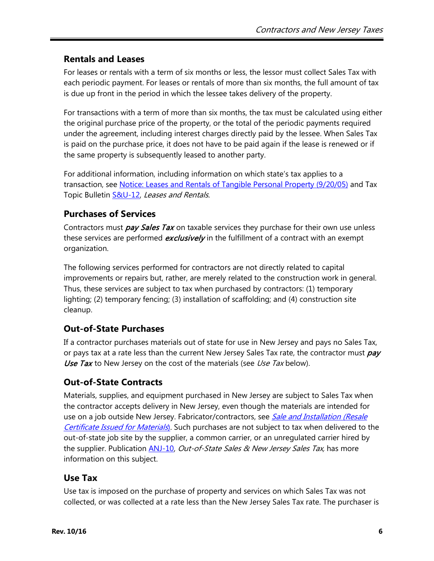# **Rentals and Leases**

For leases or rentals with a term of six months or less, the lessor must collect Sales Tax with each periodic payment. For leases or rentals of more than six months, the full amount of tax is due up front in the period in which the lessee takes delivery of the property.

For transactions with a term of more than six months, the tax must be calculated using either the original purchase price of the property, or the total of the periodic payments required under the agreement, including interest charges directly paid by the lessee. When Sales Tax is paid on the purchase price, it does not have to be paid again if the lease is renewed or if the same property is subsequently leased to another party.

For additional information, including information on which state's tax applies to a transaction, see [Notice: Leases and Rentals of Tangible Personal](http://www.state.nj.us/treasury/taxation/pdf/ssutlease.pdf) Property (9/20/05) and Tax Topic Bulletin [S&U-12,](http://www.state.nj.us/treasury/taxation/pdf/pubs/sales/su12.pdf) Leases and Rentals.

# <span id="page-5-0"></span>**Purchases of Services**

Contractors must *pay Sales Tax* on taxable services they purchase for their own use unless these services are performed *exclusively* in the fulfillment of a contract with an exempt organization.

The following services performed for contractors are not directly related to capital improvements or repairs but, rather, are merely related to the construction work in general. Thus, these services are subject to tax when purchased by contractors: (1) temporary lighting; (2) temporary fencing; (3) installation of scaffolding; and (4) construction site cleanup.

# **Out-of-State Purchases**

If a contractor purchases materials out of state for use in New Jersey and pays no Sales Tax, or pays tax at a rate less than the current New Jersey Sales Tax rate, the contractor must pay Use Tax to New Jersey on the cost of the materials (see Use Tax below).

# **Out-of-State Contracts**

Materials, supplies, and equipment purchased in New Jersey are subject to Sales Tax when the contractor accepts delivery in New Jersey, even though the materials are intended for use on a job outside New Jersey. Fabricator/contractors, see Sale and Installation (Resale [Certificate Issued](#page-9-1) for Materials). Such purchases are not subject to tax when delivered to the out-of-state job site by the supplier, a common carrier, or an unregulated carrier hired by the supplier. Publication [ANJ-10,](http://www.state.nj.us/treasury/taxation/pdf/pubs/sales/anj10.pdf) *Out-of-State Sales & New Jersey Sales Tax*, has more information on this subject.

### **Use Tax**

Use tax is imposed on the purchase of property and services on which Sales Tax was not collected, or was collected at a rate less than the New Jersey Sales Tax rate. The purchaser is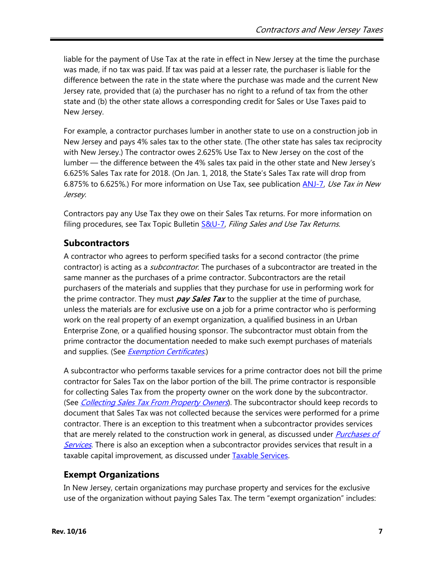liable for the payment of Use Tax at the rate in effect in New Jersey at the time the purchase was made, if no tax was paid. If tax was paid at a lesser rate, the purchaser is liable for the difference between the rate in the state where the purchase was made and the current New Jersey rate, provided that (a) the purchaser has no right to a refund of tax from the other state and (b) the other state allows a corresponding credit for Sales or Use Taxes paid to New Jersey.

For example, a contractor purchases lumber in another state to use on a construction job in New Jersey and pays 4% sales tax to the other state. (The other state has sales tax reciprocity with New Jersey.) The contractor owes 2.625% Use Tax to New Jersey on the cost of the lumber — the difference between the 4% sales tax paid in the other state and New Jersey's 6.625% Sales Tax rate for 2018. (On Jan. 1, 2018, the State's Sales Tax rate will drop from 6.875% to 6.625%.) For more information on Use Tax, see publication [ANJ-7,](http://www.state.nj.us/treasury/taxation/pdf/pubs/sales/anj7.pdf) Use Tax in New Jersey.

Contractors pay any Use Tax they owe on their Sales Tax returns. For more information on filing procedures, see Tax Topic Bulletin **S&U-7**, Filing Sales and Use Tax Returns.

### **Subcontractors**

A contractor who agrees to perform specified tasks for a second contractor (the prime contractor) is acting as a *subcontractor*. The purchases of a subcontractor are treated in the same manner as the purchases of a prime contractor. Subcontractors are the retail purchasers of the materials and supplies that they purchase for use in performing work for the prime contractor. They must *pay Sales Tax* to the supplier at the time of purchase, unless the materials are for exclusive use on a job for a prime contractor who is performing work on the real property of an exempt organization, a qualified business in an Urban Enterprise Zone, or a qualified housing sponsor. The subcontractor must obtain from the prime contractor the documentation needed to make such exempt purchases of materials and supplies. (See *[Exemption Certificates](#page-12-0).*)

A subcontractor who performs taxable services for a prime contractor does not bill the prime contractor for Sales Tax on the labor portion of the bill. The prime contractor is responsible for collecting Sales Tax from the property owner on the work done by the subcontractor. (See [Collecting Sales Tax From Property Owners](#page-7-0)). The subcontractor should keep records to document that Sales Tax was not collected because the services were performed for a prime contractor. There is an exception to this treatment when a subcontractor provides services that are merely related to the construction work in general, as discussed under *Purchases of* [Services](#page-5-0). There is also an exception when a subcontractor provides services that result in a taxable capital improvement, as discussed under [Taxable Services.](#page-7-1)

# <span id="page-6-0"></span>**Exempt Organizations**

In New Jersey, certain organizations may purchase property and services for the exclusive use of the organization without paying Sales Tax. The term "exempt organization" includes: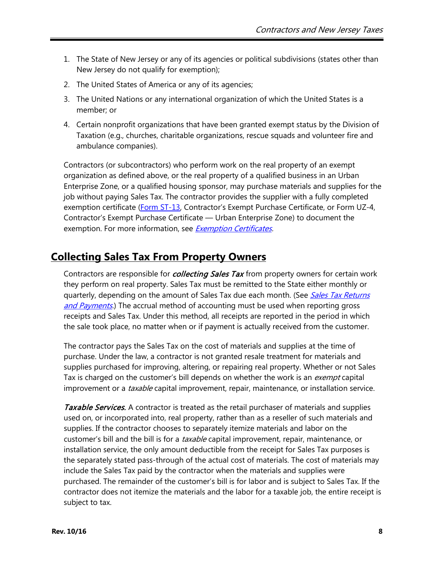- 1. The State of New Jersey or any of its agencies or political subdivisions (states other than New Jersey do not qualify for exemption);
- 2. The United States of America or any of its agencies;
- 3. The United Nations or any international organization of which the United States is a member; or
- 4. Certain nonprofit organizations that have been granted exempt status by the Division of Taxation (e.g., churches, charitable organizations, rescue squads and volunteer fire and ambulance companies).

Contractors (or subcontractors) who perform work on the real property of an exempt organization as defined above, or the real property of a qualified business in an Urban Enterprise Zone, or a qualified housing sponsor, may purchase materials and supplies for the job without paying Sales Tax. The contractor provides the supplier with a fully completed exemption certificate [\(Form ST-13,](http://www.state.nj.us/treasury/taxation/pdf/other_forms/sales/st13.pdf) Contractor's Exempt Purchase Certificate, or Form UZ-4, Contractor's Exempt Purchase Certificate — Urban Enterprise Zone) to document the exemption. For more information, see [Exemption Certificates.](#page-12-0)

# <span id="page-7-0"></span>**Collecting Sales Tax From Property Owners**

Contractors are responsible for *collecting Sales Tax* from property owners for certain work they perform on real property. Sales Tax must be remitted to the State either monthly or quarterly, depending on the amount of Sales Tax due each month. (See Sales Tax Returns [and Payments](#page-16-0).) The accrual method of accounting must be used when reporting gross receipts and Sales Tax. Under this method, all receipts are reported in the period in which the sale took place, no matter when or if payment is actually received from the customer.

The contractor pays the Sales Tax on the cost of materials and supplies at the time of purchase. Under the law, a contractor is not granted resale treatment for materials and supplies purchased for improving, altering, or repairing real property. Whether or not Sales Tax is charged on the customer's bill depends on whether the work is an exempt capital improvement or a *taxable* capital improvement, repair, maintenance, or installation service.

<span id="page-7-1"></span>Taxable Services. A contractor is treated as the retail purchaser of materials and supplies used on, or incorporated into, real property, rather than as a reseller of such materials and supplies. If the contractor chooses to separately itemize materials and labor on the customer's bill and the bill is for a *taxable* capital improvement, repair, maintenance, or installation service, the only amount deductible from the receipt for Sales Tax purposes is the separately stated pass-through of the actual cost of materials. The cost of materials may include the Sales Tax paid by the contractor when the materials and supplies were purchased. The remainder of the customer's bill is for labor and is subject to Sales Tax. If the contractor does not itemize the materials and the labor for a taxable job, the entire receipt is subject to tax.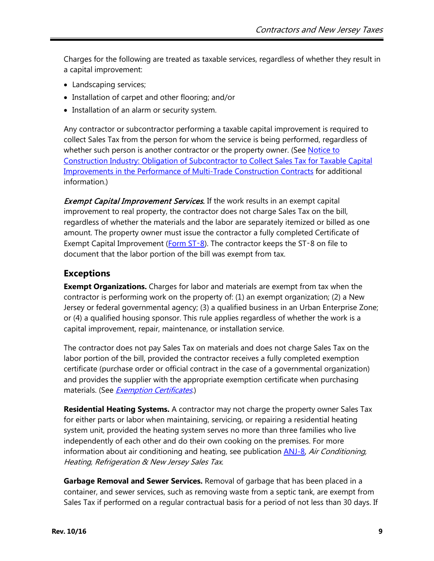Charges for the following are treated as taxable services, regardless of whether they result in a capital improvement:

- Landscaping services;
- Installation of carpet and other flooring; and/or
- Installation of an alarm or security system.

Any contractor or subcontractor performing a taxable capital improvement is required to collect Sales Tax from the person for whom the service is being performed, regardless of whether such person is another contractor or the property owner. (See [Notice to](http://www.state.nj.us/treasury/taxation/pdf/constructionnotice.pdf)  Construction Industry: Obligation [of Subcontractor to Collect Sales Tax for](http://www.state.nj.us/treasury/taxation/pdf/constructionnotice.pdf) Taxable Capital Improvements in the Performance [of Multi-Trade Construction Contracts](http://www.state.nj.us/treasury/taxation/pdf/constructionnotice.pdf) for additional information.)

**Exempt Capital Improvement Services.** If the work results in an exempt capital improvement to real property, the contractor does not charge Sales Tax on the bill, regardless of whether the materials and the labor are separately itemized or billed as one amount. The property owner must issue the contractor a fully completed Certificate of Exempt Capital Improvement [\(Form ST](http://www.state.nj.us/treasury/taxation/pdf/other_forms/sales/st8.pdf)-8). The contractor keeps the ST-8 on file to document that the labor portion of the bill was exempt from tax.

#### **Exceptions**

**Exempt Organizations.** Charges for labor and materials are exempt from tax when the contractor is performing work on the property of: (1) an exempt organization; (2) a New Jersey or federal governmental agency; (3) a qualified business in an Urban Enterprise Zone; or (4) a qualified housing sponsor. This rule applies regardless of whether the work is a capital improvement, repair, maintenance, or installation service.

The contractor does not pay Sales Tax on materials and does not charge Sales Tax on the labor portion of the bill, provided the contractor receives a fully completed exemption certificate (purchase order or official contract in the case of a governmental organization) and provides the supplier with the appropriate exemption certificate when purchasing materials. (See *[Exemption Certificates](#page-12-0).*)

**Residential Heating Systems.** A contractor may not charge the property owner Sales Tax for either parts or labor when maintaining, servicing, or repairing a residential heating system unit, provided the heating system serves no more than three families who live independently of each other and do their own cooking on the premises. For more information about air conditioning and heating, see publication *ANJ-8, Air Conditioning*, Heating, Refrigeration & New Jersey Sales Tax.

**Garbage Removal and Sewer Services.** Removal of garbage that has been placed in a container, and sewer services, such as removing waste from a septic tank, are exempt from Sales Tax if performed on a regular contractual basis for a period of not less than 30 days. If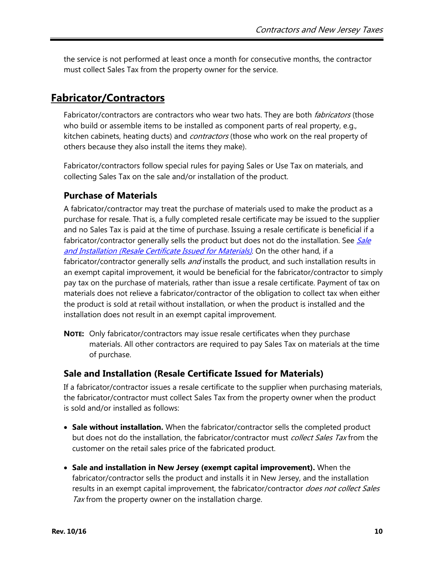the service is not performed at least once a month for consecutive months, the contractor must collect Sales Tax from the property owner for the service.

# <span id="page-9-0"></span>**Fabricator/Contractors**

Fabricator/contractors are contractors who wear two hats. They are both *fabricators* (those who build or assemble items to be installed as component parts of real property, e.g., kitchen cabinets, heating ducts) and *contractors* (those who work on the real property of others because they also install the items they make).

Fabricator/contractors follow special rules for paying Sales or Use Tax on materials, and collecting Sales Tax on the sale and/or installation of the product.

### **Purchase of Materials**

A fabricator/contractor may treat the purchase of materials used to make the product as a purchase for resale. That is, a fully completed resale certificate may be issued to the supplier and no Sales Tax is paid at the time of purchase. Issuing a resale certificate is beneficial if a fabricator/contractor generally sells the product but does not do the installation. See Sale and Installation [\(Resale Certificate Issued for Materials\)](#page-9-1). On the other hand, if a fabricator/contractor generally sells *and* installs the product, and such installation results in an exempt capital improvement, it would be beneficial for the fabricator/contractor to simply pay tax on the purchase of materials, rather than issue a resale certificate. Payment of tax on materials does not relieve a fabricator/contractor of the obligation to collect tax when either the product is sold at retail without installation, or when the product is installed and the installation does not result in an exempt capital improvement.

**NOTE:** Only fabricator/contractors may issue resale certificates when they purchase materials. All other contractors are required to pay Sales Tax on materials at the time of purchase.

### <span id="page-9-1"></span>**Sale and Installation (Resale Certificate Issued for Materials)**

If a fabricator/contractor issues a resale certificate to the supplier when purchasing materials, the fabricator/contractor must collect Sales Tax from the property owner when the product is sold and/or installed as follows:

- **Sale without installation.** When the fabricator/contractor sells the completed product but does not do the installation, the fabricator/contractor must *collect Sales Tax* from the customer on the retail sales price of the fabricated product.
- **Sale and installation in New Jersey (exempt capital improvement).** When the fabricator/contractor sells the product and installs it in New Jersey, and the installation results in an exempt capital improvement, the fabricator/contractor does not collect Sales Tax from the property owner on the installation charge.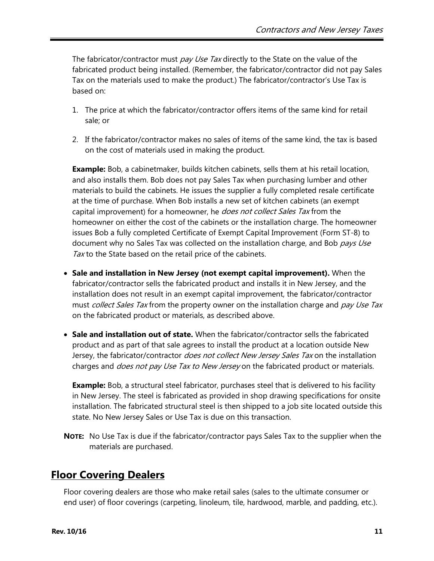The fabricator/contractor must pay Use Tax directly to the State on the value of the fabricated product being installed. (Remember, the fabricator/contractor did not pay Sales Tax on the materials used to make the product.) The fabricator/contractor's Use Tax is based on:

- 1. The price at which the fabricator/contractor offers items of the same kind for retail sale; or
- 2. If the fabricator/contractor makes no sales of items of the same kind, the tax is based on the cost of materials used in making the product.

**Example:** Bob, a cabinetmaker, builds kitchen cabinets, sells them at his retail location, and also installs them. Bob does not pay Sales Tax when purchasing lumber and other materials to build the cabinets. He issues the supplier a fully completed resale certificate at the time of purchase. When Bob installs a new set of kitchen cabinets (an exempt capital improvement) for a homeowner, he *does not collect Sales Tax* from the homeowner on either the cost of the cabinets or the installation charge. The homeowner issues Bob a fully completed Certificate of Exempt Capital Improvement (Form ST-8) to document why no Sales Tax was collected on the installation charge, and Bob pays Use Tax to the State based on the retail price of the cabinets.

- **Sale and installation in New Jersey (not exempt capital improvement).** When the fabricator/contractor sells the fabricated product and installs it in New Jersey, and the installation does not result in an exempt capital improvement, the fabricator/contractor must collect Sales Tax from the property owner on the installation charge and pay Use Tax on the fabricated product or materials, as described above.
- **Sale and installation out of state.** When the fabricator/contractor sells the fabricated product and as part of that sale agrees to install the product at a location outside New Jersey, the fabricator/contractor *does not collect New Jersey Sales Tax* on the installation charges and *does not pay Use Tax to New Jersey* on the fabricated product or materials.

**Example:** Bob, a structural steel fabricator, purchases steel that is delivered to his facility in New Jersey. The steel is fabricated as provided in shop drawing specifications for onsite installation. The fabricated structural steel is then shipped to a job site located outside this state. No New Jersey Sales or Use Tax is due on this transaction.

**NOTE:** No Use Tax is due if the fabricator/contractor pays Sales Tax to the supplier when the materials are purchased.

# <span id="page-10-0"></span>**Floor Covering Dealers**

Floor covering dealers are those who make retail sales (sales to the ultimate consumer or end user) of floor coverings (carpeting, linoleum, tile, hardwood, marble, and padding, etc.).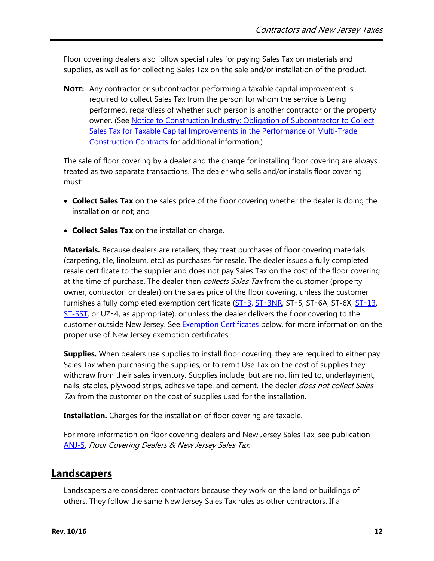Floor covering dealers also follow special rules for paying Sales Tax on materials and supplies, as well as for collecting Sales Tax on the sale and/or installation of the product.

**NOTE:** Any contractor or subcontractor performing a taxable capital improvement is required to collect Sales Tax from the person for whom the service is being performed, regardless of whether such person is another contractor or the property owner. (See Notice to Construction [Industry: Obligation of Subcontractor](http://www.state.nj.us/treasury/taxation/pdf/constructionnotice.pdf) to Collect Sales Tax for Taxable Capital [Improvements in the Performance of](http://www.state.nj.us/treasury/taxation/pdf/constructionnotice.pdf) Multi-Trade [Construction Contracts](http://www.state.nj.us/treasury/taxation/pdf/constructionnotice.pdf) for additional information.)

The sale of floor covering by a dealer and the charge for installing floor covering are always treated as two separate transactions. The dealer who sells and/or installs floor covering must:

- **Collect Sales Tax** on the sales price of the floor covering whether the dealer is doing the installation or not; and
- **Collect Sales Tax** on the installation charge.

**Materials.** Because dealers are retailers, they treat purchases of floor covering materials (carpeting, tile, linoleum, etc.) as purchases for resale. The dealer issues a fully completed resale certificate to the supplier and does not pay Sales Tax on the cost of the floor covering at the time of purchase. The dealer then *collects Sales Tax* from the customer (property owner, contractor, or dealer) on the sales price of the floor covering, unless the customer furnishes a fully completed exemption certificate [\(ST](http://www.state.nj.us/treasury/taxation/pdf/other_forms/sales/st3.pdf)-3, ST-[3NR,](http://www.state.nj.us/treasury/taxation/pdf/other_forms/sales/st3nr.pdf) [ST](http://www.state.nj.us/treasury/taxation/pdf/other_forms/sales/st13.pdf)-5, ST-6A, ST-6X, ST-13, [ST-SST,](http://www.state.nj.us/treasury/taxation/pdf/other_forms/sales/st_sst.pdf) or UZ‑4, as appropriate), or unless the dealer delivers the floor covering to the customer outside New Jersey. See [Exemption Certificates](#page-12-0) below, for more information on the proper use of New Jersey exemption certificates.

**Supplies.** When dealers use supplies to install floor covering, they are required to either pay Sales Tax when purchasing the supplies, or to remit Use Tax on the cost of supplies they withdraw from their sales inventory. Supplies include, but are not limited to, underlayment, nails, staples, plywood strips, adhesive tape, and cement. The dealer *does not collect Sales* Tax from the customer on the cost of supplies used for the installation.

**Installation.** Charges for the installation of floor covering are taxable.

For more information on floor covering dealers and New Jersey Sales Tax, see publication [ANJ-5,](http://www.state.nj.us/treasury/taxation/pdf/pubs/sales/anj5.pdf) Floor Covering Dealers & New Jersey Sales Tax.

# <span id="page-11-0"></span>**Landscapers**

Landscapers are considered contractors because they work on the land or buildings of others. They follow the same New Jersey Sales Tax rules as other contractors. If a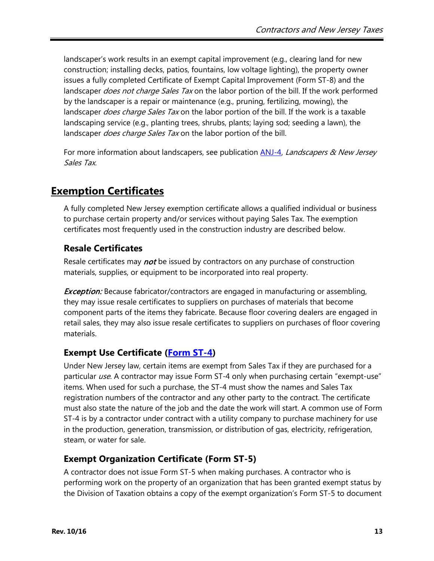landscaper's work results in an exempt capital improvement (e.g., clearing land for new construction; installing decks, patios, fountains, low voltage lighting), the property owner issues a fully completed Certificate of Exempt Capital Improvement (Form ST-8) and the landscaper *does not charge Sales Tax* on the labor portion of the bill. If the work performed by the landscaper is a repair or maintenance (e.g., pruning, fertilizing, mowing), the landscaper *does charge Sales Tax* on the labor portion of the bill. If the work is a taxable landscaping service (e.g., planting trees, shrubs, plants; laying sod; seeding a lawn), the landscaper *does charge Sales Tax* on the labor portion of the bill.

For more information about landscapers, see publication [ANJ-4,](http://www.state.nj.us/treasury/taxation/pdf/pubs/sales/anj4.pdf) *Landscapers & New Jersey* Sales Tax.

# <span id="page-12-0"></span>**Exemption Certificates**

A fully completed New Jersey exemption certificate allows a qualified individual or business to purchase certain property and/or services without paying Sales Tax. The exemption certificates most frequently used in the construction industry are described below.

### **Resale Certificates**

Resale certificates may *not* be issued by contractors on any purchase of construction materials, supplies, or equipment to be incorporated into real property.

**Exception:** Because fabricator/contractors are engaged in manufacturing or assembling, they may issue resale certificates to suppliers on purchases of materials that become component parts of the items they fabricate. Because floor covering dealers are engaged in retail sales, they may also issue resale certificates to suppliers on purchases of floor covering materials.

### **Exempt Use Certificate [\(Form ST-4\)](http://www.state.nj.us/treasury/taxation/pdf/other_forms/sales/st4.pdf)**

Under New Jersey law, certain items are exempt from Sales Tax if they are purchased for a particular use. A contractor may issue Form ST-4 only when purchasing certain "exempt-use" items. When used for such a purchase, the ST-4 must show the names and Sales Tax registration numbers of the contractor and any other party to the contract. The certificate must also state the nature of the job and the date the work will start. A common use of Form ST-4 is by a contractor under contract with a utility company to purchase machinery for use in the production, generation, transmission, or distribution of gas, electricity, refrigeration, steam, or water for sale.

### **Exempt Organization Certificate (Form ST-5)**

A contractor does not issue Form ST-5 when making purchases. A contractor who is performing work on the property of an organization that has been granted exempt status by the Division of Taxation obtains a copy of the exempt organization's Form ST-5 to document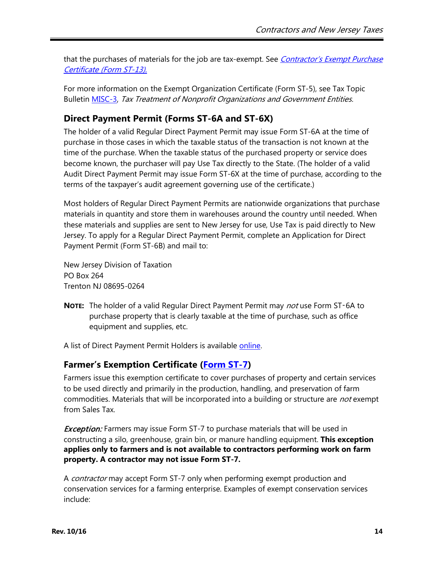that the purchases of materials for the job are tax-exempt. See *[Contractor's Exempt Purchase](#page-14-0)* Certificate [\(Form ST-13\).](#page-14-0)

For more information on the Exempt Organization Certificate (Form ST-5), see Tax Topic Bulletin [MISC-3,](http://www.state.nj.us/treasury/taxation/pdf/pubs/misc3.pdf) Tax Treatment of Nonprofit Organizations and Government Entities.

# **Direct Payment Permit (Forms ST-6A and ST-6X)**

The holder of a valid Regular Direct Payment Permit may issue Form ST-6A at the time of purchase in those cases in which the taxable status of the transaction is not known at the time of the purchase. When the taxable status of the purchased property or service does become known, the purchaser will pay Use Tax directly to the State. (The holder of a valid Audit Direct Payment Permit may issue Form ST-6X at the time of purchase, according to the terms of the taxpayer's audit agreement governing use of the certificate.)

Most holders of Regular Direct Payment Permits are nationwide organizations that purchase materials in quantity and store them in warehouses around the country until needed. When these materials and supplies are sent to New Jersey for use, Use Tax is paid directly to New Jersey. To apply for a Regular Direct Payment Permit, complete an Application for Direct Payment Permit (Form ST-6B) and mail to:

New Jersey Division of Taxation PO Box 264 Trenton NJ 08695-0264

**NOTE:** The holder of a valid Regular Direct Payment Permit may not use Form ST‑6A to purchase property that is clearly taxable at the time of purchase, such as office equipment and supplies, etc.

A list of Direct Payment Permit Holders is available [online.](http://www.state.nj.us/treasury/taxation/su_file.shtml)

### **Farmer's Exemption Certificate [\(Form ST-7\)](http://www.state.nj.us/treasury/taxation/pdf/other_forms/sales/st7.pdf)**

Farmers issue this exemption certificate to cover purchases of property and certain services to be used directly and primarily in the production, handling, and preservation of farm commodities. Materials that will be incorporated into a building or structure are *not* exempt from Sales Tax.

**Exception:** Farmers may issue Form ST-7 to purchase materials that will be used in constructing a silo, greenhouse, grain bin, or manure handling equipment. **This exception applies only to farmers and is not available to contractors performing work on farm property. A contractor may not issue Form ST-7.**

A *contractor* may accept Form ST-7 only when performing exempt production and conservation services for a farming enterprise. Examples of exempt conservation services include: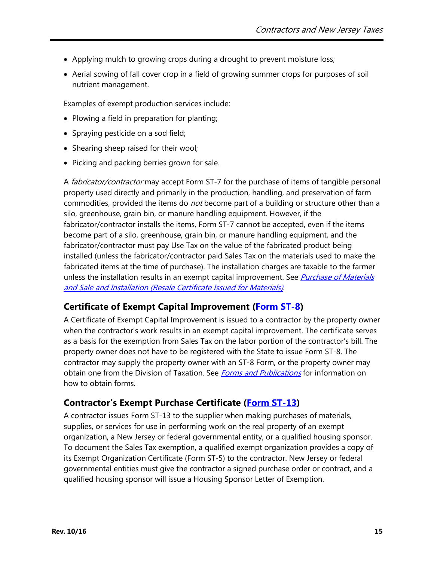- Applying mulch to growing crops during a drought to prevent moisture loss;
- Aerial sowing of fall cover crop in a field of growing summer crops for purposes of soil nutrient management.

Examples of exempt production services include:

- Plowing a field in preparation for planting;
- Spraying pesticide on a sod field;
- Shearing sheep raised for their wool;
- Picking and packing berries grown for sale.

A *fabricator/contractor* may accept Form ST-7 for the purchase of items of tangible personal property used directly and primarily in the production, handling, and preservation of farm commodities, provided the items do *not* become part of a building or structure other than a silo, greenhouse, grain bin, or manure handling equipment. However, if the fabricator/contractor installs the items, Form ST-7 cannot be accepted, even if the items become part of a silo, greenhouse, grain bin, or manure handling equipment, and the fabricator/contractor must pay Use Tax on the value of the fabricated product being installed (unless the fabricator/contractor paid Sales Tax on the materials used to make the fabricated items at the time of purchase). The installation charges are taxable to the farmer unless the installation results in an exempt capital improvement. See *[Purchase of Materials](#page-9-1)* [and Sale and Installation \(Resale Certificate Issued](#page-9-1) for Materials).

#### **Certificate of Exempt Capital Improvement [\(Form ST-8\)](http://www.state.nj.us/treasury/taxation/pdf/other_forms/sales/st8.pdf)**

A Certificate of Exempt Capital Improvement is issued to a contractor by the property owner when the contractor's work results in an exempt capital improvement. The certificate serves as a basis for the exemption from Sales Tax on the labor portion of the contractor's bill. The property owner does not have to be registered with the State to issue Form ST-8. The contractor may supply the property owner with an ST-8 Form, or the property owner may obtain one from the Division of Taxation. See *[Forms and Publications](#page-18-0)* for information on how to obtain forms.

#### <span id="page-14-0"></span>**Contractor's Exempt Purchase Certificate [\(Form ST-13\)](http://www.state.nj.us/treasury/taxation/pdf/other_forms/sales/st13.pdf)**

A contractor issues Form ST-13 to the supplier when making purchases of materials, supplies, or services for use in performing work on the real property of an exempt organization, a New Jersey or federal governmental entity, or a qualified housing sponsor. To document the Sales Tax exemption, a qualified exempt organization provides a copy of its Exempt Organization Certificate (Form ST-5) to the contractor. New Jersey or federal governmental entities must give the contractor a signed purchase order or contract, and a qualified housing sponsor will issue a Housing Sponsor Letter of Exemption.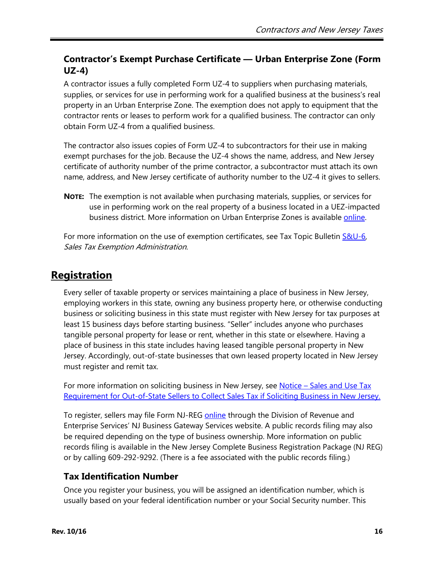### **Contractor's Exempt Purchase Certificate — Urban Enterprise Zone (Form UZ-4)**

A contractor issues a fully completed Form UZ-4 to suppliers when purchasing materials, supplies, or services for use in performing work for a qualified business at the business's real property in an Urban Enterprise Zone. The exemption does not apply to equipment that the contractor rents or leases to perform work for a qualified business. The contractor can only obtain Form UZ-4 from a qualified business.

The contractor also issues copies of Form UZ-4 to subcontractors for their use in making exempt purchases for the job. Because the UZ-4 shows the name, address, and New Jersey certificate of authority number of the prime contractor, a subcontractor must attach its own name, address, and New Jersey certificate of authority number to the UZ-4 it gives to sellers.

**NOTE:** The exemption is not available when purchasing materials, supplies, or services for use in performing work on the real property of a business located in a UEZ-impacted business district. More information on Urban Enterprise Zones is available *online*.

For more information on the use of exemption certificates, see Tax Topic Bulletin [S&U-6,](http://www.state.nj.us/treasury/taxation/pdf/pubs/sales/su6.pdf) Sales Tax Exemption Administration.

# <span id="page-15-0"></span>**Registration**

Every seller of taxable property or services maintaining a place of business in New Jersey, employing workers in this state, owning any business property here, or otherwise conducting business or soliciting business in this state must register with New Jersey for tax purposes at least 15 business days before starting business. "Seller" includes anyone who purchases tangible personal property for lease or rent, whether in this state or elsewhere. Having a place of business in this state includes having leased tangible personal property in New Jersey. Accordingly, out-of-state businesses that own leased property located in New Jersey must register and remit tax.

For more information on soliciting business in New Jersey, see Notice – [Sales and Use Tax](http://www.state.nj.us/treasury/taxation/sales_use_tax.shtml) [Requirement for Out-of-State Sellers to Collect](http://www.state.nj.us/treasury/taxation/sales_use_tax.shtml) Sales Tax if Soliciting Business in New Jersey.

To register, sellers may file Form NJ-REG **online** through the Division of Revenue and Enterprise Services' NJ Business Gateway Services website. A public records filing may also be required depending on the type of business ownership. More information on public records filing is available in the New Jersey Complete Business Registration Package (NJ REG) or by calling 609-292-9292. (There is a fee associated with the public records filing.)

# **Tax Identification Number**

Once you register your business, you will be assigned an identification number, which is usually based on your federal identification number or your Social Security number. This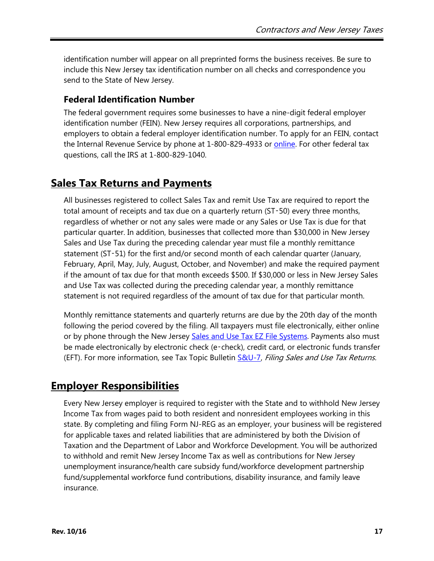identification number will appear on all preprinted forms the business receives. Be sure to include this New Jersey tax identification number on all checks and correspondence you send to the State of New Jersey.

### **Federal Identification Number**

The federal government requires some businesses to have a nine-digit federal employer identification number (FEIN). New Jersey requires all corporations, partnerships, and employers to obtain a federal employer identification number. To apply for an FEIN, contact the Internal Revenue Service by phone at 1-800-829-4933 or [online.](https://www.irs.gov/) For other federal tax questions, call the IRS at 1-800-829-1040.

# <span id="page-16-0"></span>**Sales Tax Returns and Payments**

All businesses registered to collect Sales Tax and remit Use Tax are required to report the total amount of receipts and tax due on a quarterly return (ST-50) every three months, regardless of whether or not any sales were made or any Sales or Use Tax is due for that particular quarter. In addition, businesses that collected more than \$30,000 in New Jersey Sales and Use Tax during the preceding calendar year must file a monthly remittance statement (ST-51) for the first and/or second month of each calendar quarter (January, February, April, May, July, August, October, and November) and make the required payment if the amount of tax due for that month exceeds \$500. If \$30,000 or less in New Jersey Sales and Use Tax was collected during the preceding calendar year, a monthly remittance statement is not required regardless of the amount of tax due for that particular month.

Monthly remittance statements and quarterly returns are due by the 20th day of the month following the period covered by the filing. All taxpayers must file electronically, either online or by phone through the New Jersey [Sales and Use Tax EZ File Systems.](http://www.state.nj.us/treasury/taxation/onlinebus.shtml) Payments also must be made electronically by electronic check (e-check), credit card, or electronic funds transfer (EFT). For more information, see Tax Topic Bulletin **S&U-7**, Filing Sales and Use Tax Returns.

# <span id="page-16-1"></span>**Employer Responsibilities**

Every New Jersey employer is required to register with the State and to withhold New Jersey Income Tax from wages paid to both resident and nonresident employees working in this state. By completing and filing Form NJ-REG as an employer, your business will be registered for applicable taxes and related liabilities that are administered by both the Division of Taxation and the Department of Labor and Workforce Development. You will be authorized to withhold and remit New Jersey Income Tax as well as contributions for New Jersey unemployment insurance/health care subsidy fund/workforce development partnership fund/supplemental workforce fund contributions, disability insurance, and family leave insurance.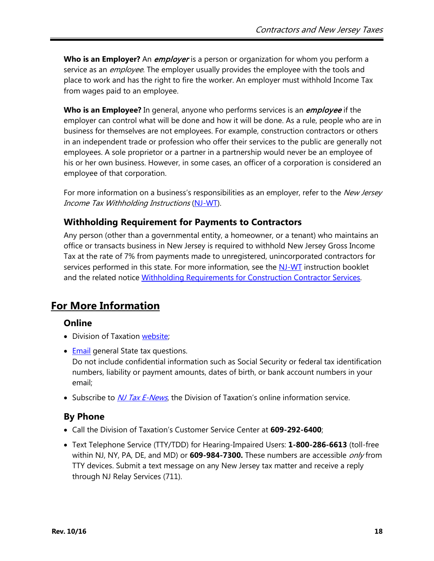**Who is an Employer?** An *employer* is a person or organization for whom you perform a service as an *employee*. The employer usually provides the employee with the tools and place to work and has the right to fire the worker. An employer must withhold Income Tax from wages paid to an employee.

**Who is an Employee?** In general, anyone who performs services is an *employee* if the employer can control what will be done and how it will be done. As a rule, people who are in business for themselves are not employees. For example, construction contractors or others in an independent trade or profession who offer their services to the public are generally not employees. A sole proprietor or a partner in a partnership would never be an employee of his or her own business. However, in some cases, an officer of a corporation is considered an employee of that corporation.

For more information on a business's responsibilities as an employer, refer to the New Jersey Income Tax Withholding Instructions [\(NJ-WT\)](http://www.state.nj.us/treasury/taxation/pdf/current/njwt.pdf).

#### **Withholding Requirement for Payments to Contractors**

Any person (other than a governmental entity, a homeowner, or a tenant) who maintains an office or transacts business in New Jersey is required to withhold New Jersey Gross Income Tax at the rate of 7% from payments made to unregistered, unincorporated contractors for services performed in this state. For more information, see the [NJ-WT](http://www.state.nj.us/treasury/taxation/pdf/current/njwt.pdf) instruction booklet and the related notice [Withholding Requirements for Construction](http://www.state.nj.us/treasury/taxation/noticegit.shtml) Contractor Services.

# **For More Information**

### **Online**

- Division of Taxation [website;](http://www.njtaxation.org/)
- [Email](https://www.state.nj.us/treas/taxation/contactus_tyttaxa.shtml) general State tax questions. Do not include confidential information such as Social Security or federal tax identification numbers, liability or payment amounts, dates of birth, or bank account numbers in your email;
- Subscribe to *[NJ Tax E-News](http://www.state.nj.us/treasury/taxation/listservice.shtml)*, the Division of Taxation's online information service.

# **By Phone**

- Call the Division of Taxation's Customer Service Center at **609-292-6400**;
- Text Telephone Service (TTY/TDD) for Hearing-Impaired Users: **1-800-286-6613** (toll-free within NJ, NY, PA, DE, and MD) or **609-984-7300.** These numbers are accessible only from TTY devices. Submit a text message on any New Jersey tax matter and receive a reply through NJ Relay Services (711).